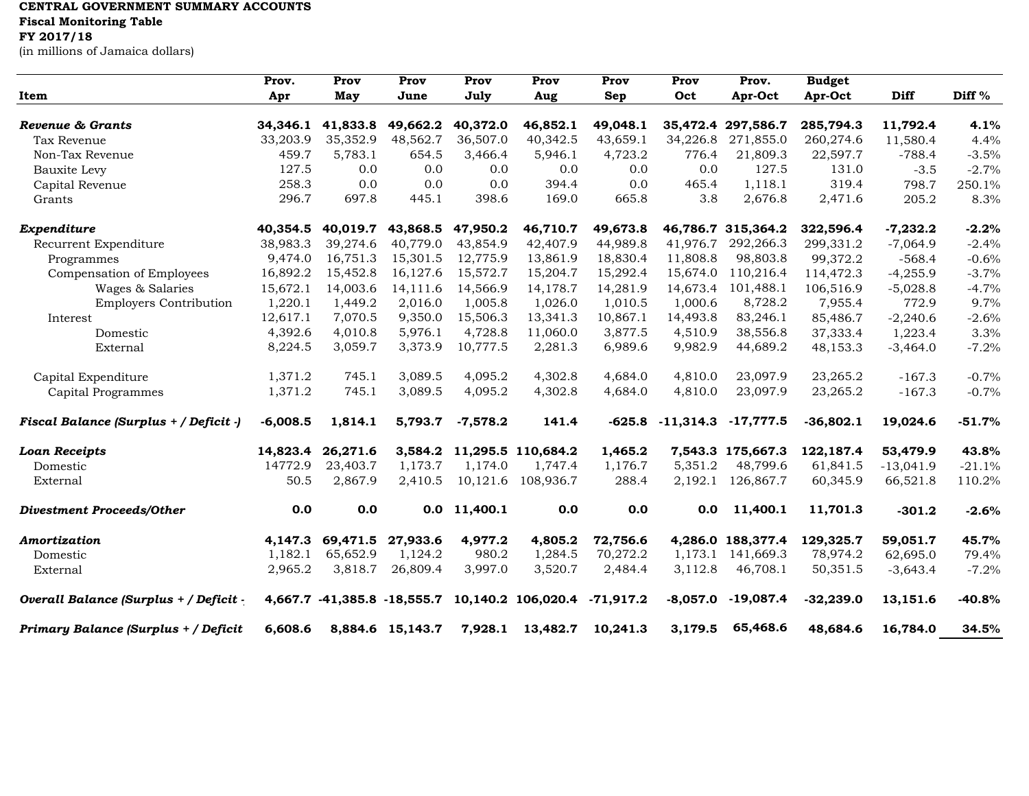## **CENTRAL GOVERNMENT SUMMARY ACCOUNTS**

**Fiscal Monitoring Table**

## **FY 2017/18**

(in millions of Jamaica dollars)

|                                        | Prov.                | Prov                        | Prov                 | Prov                 | Prov                 | Prov        | Prov        | Prov.                           | <b>Budget</b>          |                      |              |
|----------------------------------------|----------------------|-----------------------------|----------------------|----------------------|----------------------|-------------|-------------|---------------------------------|------------------------|----------------------|--------------|
| Item                                   | Apr                  | May                         | June                 | July                 | Aug                  | Sep         | Oct         | Apr-Oct                         | Apr-Oct                | <b>Diff</b>          | Diff %       |
| Revenue & Grants                       |                      |                             |                      |                      |                      | 49.048.1    |             |                                 |                        |                      |              |
| Tax Revenue                            | 34.346.1<br>33,203.9 | 41,833.8<br>35,352.9        | 49,662.2<br>48,562.7 | 40,372.0<br>36,507.0 | 46,852.1<br>40,342.5 | 43,659.1    | 34,226.8    | 35,472.4 297,586.7<br>271,855.0 | 285,794.3<br>260,274.6 | 11,792.4<br>11,580.4 | 4.1%<br>4.4% |
| Non-Tax Revenue                        | 459.7                | 5,783.1                     | 654.5                | 3,466.4              | 5,946.1              | 4,723.2     | 776.4       | 21,809.3                        | 22,597.7               | $-788.4$             | $-3.5%$      |
|                                        | 127.5                | 0.0                         | 0.0                  | 0.0                  | 0.0                  | 0.0         | 0.0         | 127.5                           | 131.0                  | $-3.5$               | $-2.7%$      |
| Bauxite Levy                           | 258.3                | 0.0                         | 0.0                  | 0.0                  | 394.4                | 0.0         | 465.4       | 1,118.1                         | 319.4                  |                      |              |
| Capital Revenue                        |                      |                             |                      |                      | 169.0                |             |             |                                 | 2,471.6                | 798.7                | 250.1%       |
| Grants                                 | 296.7                | 697.8                       | 445.1                | 398.6                |                      | 665.8       | 3.8         | 2,676.8                         |                        | 205.2                | 8.3%         |
| Expenditure                            | 40,354.5             | 40,019.7                    | 43,868.5             | 47,950.2             | 46,710.7             | 49,673.8    |             | 46,786.7 315,364.2              | 322,596.4              | $-7,232.2$           | $-2.2%$      |
| Recurrent Expenditure                  | 38,983.3             | 39,274.6                    | 40.779.0             | 43,854.9             | 42,407.9             | 44.989.8    | 41.976.7    | 292,266.3                       | 299,331.2              | $-7,064.9$           | $-2.4%$      |
| Programmes                             | 9,474.0              | 16,751.3                    | 15,301.5             | 12,775.9             | 13,861.9             | 18,830.4    | 11,808.8    | 98,803.8                        | 99,372.2               | $-568.4$             | $-0.6%$      |
| Compensation of Employees              | 16,892.2             | 15,452.8                    | 16,127.6             | 15,572.7             | 15,204.7             | 15,292.4    | 15,674.0    | 110,216.4                       | 114,472.3              | $-4,255.9$           | $-3.7%$      |
| Wages & Salaries                       | 15,672.1             | 14,003.6                    | 14,111.6             | 14,566.9             | 14,178.7             | 14,281.9    | 14,673.4    | 101,488.1                       | 106,516.9              | $-5,028.8$           | $-4.7%$      |
| <b>Employers Contribution</b>          | 1,220.1              | 1,449.2                     | 2,016.0              | 1,005.8              | 1,026.0              | 1,010.5     | 1,000.6     | 8,728.2                         | 7,955.4                | 772.9                | 9.7%         |
| Interest                               | 12,617.1             | 7,070.5                     | 9,350.0              | 15,506.3             | 13,341.3             | 10,867.1    | 14,493.8    | 83,246.1                        | 85,486.7               | $-2,240.6$           | $-2.6%$      |
| Domestic                               | 4,392.6              | 4,010.8                     | 5,976.1              | 4,728.8              | 11,060.0             | 3,877.5     | 4,510.9     | 38,556.8                        | 37,333.4               | 1,223.4              | 3.3%         |
| External                               | 8,224.5              | 3,059.7                     | 3,373.9              | 10,777.5             | 2,281.3              | 6,989.6     | 9,982.9     | 44,689.2                        | 48,153.3               | $-3,464.0$           | $-7.2%$      |
| Capital Expenditure                    | 1,371.2              | 745.1                       | 3,089.5              | 4,095.2              | 4,302.8              | 4,684.0     | 4,810.0     | 23,097.9                        | 23,265.2               | $-167.3$             | $-0.7%$      |
| Capital Programmes                     | 1,371.2              | 745.1                       | 3,089.5              | 4,095.2              | 4,302.8              | 4,684.0     | 4,810.0     | 23,097.9                        | 23,265.2               | $-167.3$             | $-0.7%$      |
| Fiscal Balance (Surplus + / Deficit -) | $-6,008.5$           | 1,814.1                     | 5,793.7              | $-7,578.2$           | 141.4                | $-625.8$    | $-11,314.3$ | $-17,777.5$                     | $-36,802.1$            | 19,024.6             | $-51.7%$     |
| <b>Loan Receipts</b>                   | 14,823.4             | 26,271.6                    | 3,584.2              |                      | 11,295.5 110,684.2   | 1,465.2     |             | 7,543.3 175,667.3               | 122,187.4              | 53,479.9             | 43.8%        |
| Domestic                               | 14772.9              | 23,403.7                    | 1,173.7              | 1,174.0              | 1,747.4              | 1,176.7     | 5,351.2     | 48,799.6                        | 61,841.5               | $-13,041.9$          | $-21.1%$     |
| External                               | 50.5                 | 2,867.9                     | 2,410.5              | 10,121.6             | 108,936.7            | 288.4       | 2,192.1     | 126,867.7                       | 60,345.9               | 66,521.8             | 110.2%       |
| <b>Divestment Proceeds/Other</b>       | 0.0                  | 0.0                         |                      | $0.0$ 11,400.1       | 0.0                  | 0.0         | 0.0         | 11,400.1                        | 11,701.3               | $-301.2$             | $-2.6%$      |
| Amortization                           | 4,147.3              | 69,471.5                    | 27,933.6             | 4,977.2              | 4,805.2              | 72,756.6    |             | 4,286.0 188,377.4               | 129,325.7              | 59,051.7             | 45.7%        |
| Domestic                               | 1,182.1              | 65,652.9                    | 1,124.2              | 980.2                | 1,284.5              | 70,272.2    | 1,173.1     | 141,669.3                       | 78,974.2               | 62,695.0             | 79.4%        |
| External                               | 2,965.2              | 3,818.7                     | 26,809.4             | 3,997.0              | 3,520.7              | 2,484.4     | 3,112.8     | 46,708.1                        | 50,351.5               | $-3,643.4$           | $-7.2%$      |
| Overall Balance (Surplus + / Deficit - |                      | 4,667.7 -41,385.8 -18,555.7 |                      |                      | 10,140.2 106,020.4   | $-71,917.2$ | $-8,057.0$  | $-19,087.4$                     | $-32,239.0$            | 13,151.6             | $-40.8%$     |
| Primary Balance (Surplus + / Deficit   | 6,608.6              |                             | 8,884.6 15,143.7     | 7,928.1              | 13,482.7             | 10,241.3    | 3,179.5     | 65,468.6                        | 48,684.6               | 16,784.0             | 34.5%        |